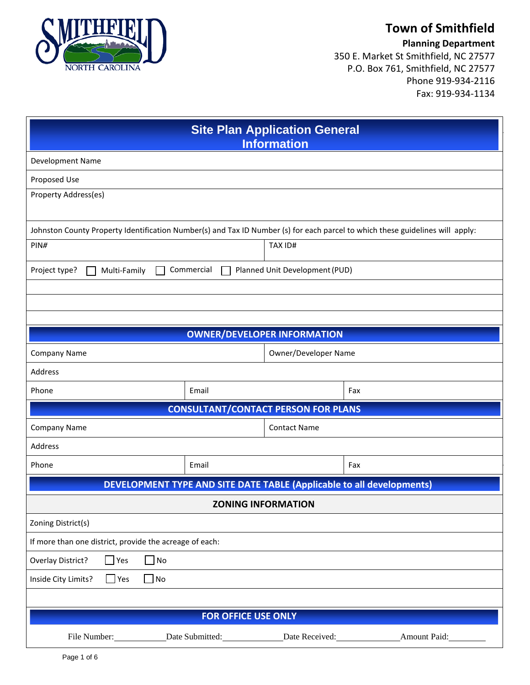

# **Town of Smithfield**

**Planning Department**

350 E. Market St Smithfield, NC 27577 P.O. Box 761, Smithfield, NC 27577 Phone 919-934-2116 Fax: 919-934-1134

| <b>Site Plan Application General</b><br><b>Information</b>                                                                    |                 |                      |              |  |  |  |  |  |
|-------------------------------------------------------------------------------------------------------------------------------|-----------------|----------------------|--------------|--|--|--|--|--|
| Development Name                                                                                                              |                 |                      |              |  |  |  |  |  |
| Proposed Use                                                                                                                  |                 |                      |              |  |  |  |  |  |
| Property Address(es)                                                                                                          |                 |                      |              |  |  |  |  |  |
| Johnston County Property Identification Number(s) and Tax ID Number (s) for each parcel to which these guidelines will apply: |                 |                      |              |  |  |  |  |  |
| PINH                                                                                                                          | TAX ID#         |                      |              |  |  |  |  |  |
| Commercial<br>Planned Unit Development (PUD)<br>Project type?<br>Multi-Family                                                 |                 |                      |              |  |  |  |  |  |
|                                                                                                                               |                 |                      |              |  |  |  |  |  |
|                                                                                                                               |                 |                      |              |  |  |  |  |  |
| <b>OWNER/DEVELOPER INFORMATION</b>                                                                                            |                 |                      |              |  |  |  |  |  |
| Company Name                                                                                                                  |                 | Owner/Developer Name |              |  |  |  |  |  |
| Address                                                                                                                       |                 |                      |              |  |  |  |  |  |
| Phone                                                                                                                         | Email           |                      | Fax          |  |  |  |  |  |
| <b>CONSULTANT/CONTACT PERSON FOR PLANS</b>                                                                                    |                 |                      |              |  |  |  |  |  |
| Company Name<br><b>Contact Name</b>                                                                                           |                 |                      |              |  |  |  |  |  |
| Address                                                                                                                       |                 |                      |              |  |  |  |  |  |
| Phone                                                                                                                         | Email           |                      | Fax          |  |  |  |  |  |
| <b>DEVELOPMENT TYPE AND SITE DATE TABLE (Applicable to all developments)</b>                                                  |                 |                      |              |  |  |  |  |  |
| <b>ZONING INFORMATION</b>                                                                                                     |                 |                      |              |  |  |  |  |  |
| Zoning District(s)                                                                                                            |                 |                      |              |  |  |  |  |  |
| If more than one district, provide the acreage of each:                                                                       |                 |                      |              |  |  |  |  |  |
| $\Box$ No<br>$\Box$ Yes<br>Overlay District?                                                                                  |                 |                      |              |  |  |  |  |  |
| Inside City Limits?<br>No<br>Yes<br>$\overline{\phantom{0}}$                                                                  |                 |                      |              |  |  |  |  |  |
|                                                                                                                               |                 |                      |              |  |  |  |  |  |
| <b>FOR OFFICE USE ONLY</b>                                                                                                    |                 |                      |              |  |  |  |  |  |
| File Number:                                                                                                                  | Date Submitted: | Date Received:       | Amount Paid: |  |  |  |  |  |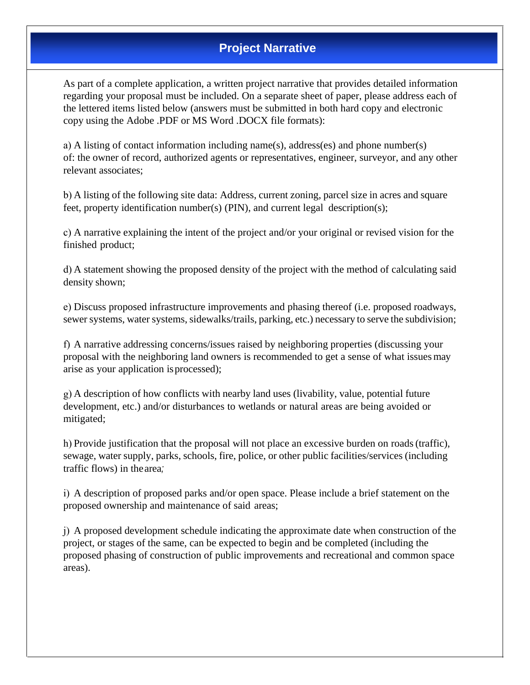## **Project Narrative**

As part of a complete application, a written project narrative that provides detailed information regarding your proposal must be included. On a separate sheet of paper, please address each of the lettered items listed below (answers must be submitted in both hard copy and electronic copy using the Adobe .PDF or MS Word .DOCX file formats):

a) A listing of contact information including name(s), address(es) and phone number(s) of: the owner of record, authorized agents or representatives, engineer, surveyor, and any other relevant associates;

b) A listing of the following site data: Address, current zoning, parcel size in acres and square feet, property identification number(s) (PIN), and current legal description(s);

c) A narrative explaining the intent of the project and/or your original or revised vision for the finished product;

d) A statement showing the proposed density of the project with the method of calculating said density shown;

e) Discuss proposed infrastructure improvements and phasing thereof (i.e. proposed roadways, sewer systems, water systems, sidewalks/trails, parking, etc.) necessary to serve the subdivision;

f) A narrative addressing concerns/issues raised by neighboring properties (discussing your proposal with the neighboring land owners is recommended to get a sense of what issues may arise as your application isprocessed);

g) A description of how conflicts with nearby land uses (livability, value, potential future development, etc.) and/or disturbances to wetlands or natural areas are being avoided or mitigated;

h) Provide justification that the proposal will not place an excessive burden on roads (traffic), sewage, water supply, parks, schools, fire, police, or other public facilities/services (including traffic flows) in thearea*;*

i) A description of proposed parks and/or open space. Please include a brief statement on the proposed ownership and maintenance of said areas;

j) A proposed development schedule indicating the approximate date when construction of the project, or stages of the same, can be expected to begin and be completed (including the proposed phasing of construction of public improvements and recreational and common space areas).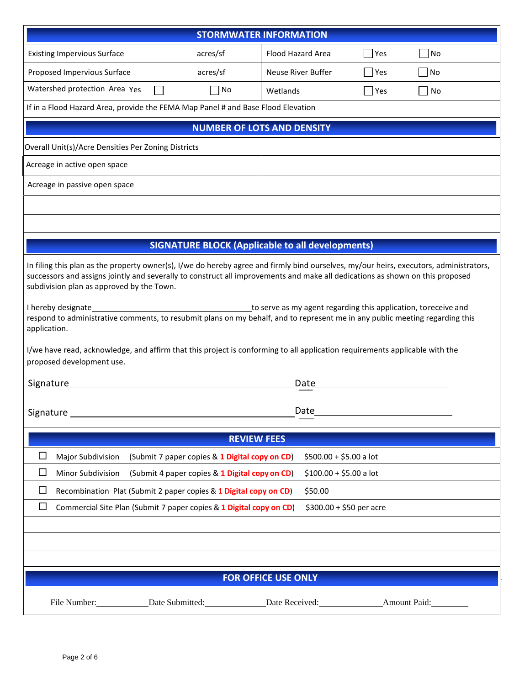| <b>STORMWATER INFORMATION</b>                                                                                                                                                                                                                                                                                                                                                                     |                                                |                    |                          |     |    |  |  |  |
|---------------------------------------------------------------------------------------------------------------------------------------------------------------------------------------------------------------------------------------------------------------------------------------------------------------------------------------------------------------------------------------------------|------------------------------------------------|--------------------|--------------------------|-----|----|--|--|--|
| <b>Existing Impervious Surface</b>                                                                                                                                                                                                                                                                                                                                                                | acres/sf                                       | Flood Hazard Area  |                          | Yes | No |  |  |  |
| Proposed Impervious Surface                                                                                                                                                                                                                                                                                                                                                                       | acres/sf                                       | Neuse River Buffer |                          | Yes | No |  |  |  |
| Watershed protection Area Yes                                                                                                                                                                                                                                                                                                                                                                     | No                                             | Wetlands           |                          | Yes | No |  |  |  |
| If in a Flood Hazard Area, provide the FEMA Map Panel # and Base Flood Elevation                                                                                                                                                                                                                                                                                                                  |                                                |                    |                          |     |    |  |  |  |
| <b>NUMBER OF LOTS AND DENSITY</b>                                                                                                                                                                                                                                                                                                                                                                 |                                                |                    |                          |     |    |  |  |  |
| Overall Unit(s)/Acre Densities Per Zoning Districts                                                                                                                                                                                                                                                                                                                                               |                                                |                    |                          |     |    |  |  |  |
| Acreage in active open space                                                                                                                                                                                                                                                                                                                                                                      |                                                |                    |                          |     |    |  |  |  |
| Acreage in passive open space                                                                                                                                                                                                                                                                                                                                                                     |                                                |                    |                          |     |    |  |  |  |
|                                                                                                                                                                                                                                                                                                                                                                                                   |                                                |                    |                          |     |    |  |  |  |
|                                                                                                                                                                                                                                                                                                                                                                                                   |                                                |                    |                          |     |    |  |  |  |
|                                                                                                                                                                                                                                                                                                                                                                                                   |                                                |                    |                          |     |    |  |  |  |
| <b>SIGNATURE BLOCK (Applicable to all developments)</b>                                                                                                                                                                                                                                                                                                                                           |                                                |                    |                          |     |    |  |  |  |
| In filing this plan as the property owner(s), I/we do hereby agree and firmly bind ourselves, my/our heirs, executors, administrators,<br>successors and assigns jointly and severally to construct all improvements and make all dedications as shown on this proposed<br>subdivision plan as approved by the Town.                                                                              |                                                |                    |                          |     |    |  |  |  |
| I hereby designate<br>to serve as my agent regarding this application, to receive and<br>respond to administrative comments, to resubmit plans on my behalf, and to represent me in any public meeting regarding this<br>application.<br>I/we have read, acknowledge, and affirm that this project is conforming to all application requirements applicable with the<br>proposed development use. |                                                |                    |                          |     |    |  |  |  |
|                                                                                                                                                                                                                                                                                                                                                                                                   |                                                |                    |                          |     |    |  |  |  |
| <b>Signature</b><br>Date                                                                                                                                                                                                                                                                                                                                                                          |                                                |                    |                          |     |    |  |  |  |
| Date<br>Signature                                                                                                                                                                                                                                                                                                                                                                                 |                                                |                    |                          |     |    |  |  |  |
| <b>REVIEW FEES</b>                                                                                                                                                                                                                                                                                                                                                                                |                                                |                    |                          |     |    |  |  |  |
| $\Box$<br>Major Subdivision                                                                                                                                                                                                                                                                                                                                                                       | (Submit 7 paper copies & 1 Digital copy on CD) |                    | $$500.00 + $5.00$ a lot  |     |    |  |  |  |
| Minor Subdivision<br>ப                                                                                                                                                                                                                                                                                                                                                                            | (Submit 4 paper copies & 1 Digital copy on CD) |                    | $$100.00 + $5.00$ a lot  |     |    |  |  |  |
| Recombination Plat (Submit 2 paper copies & 1 Digital copy on CD)<br>ப                                                                                                                                                                                                                                                                                                                            |                                                |                    | \$50.00                  |     |    |  |  |  |
| $\Box$<br>Commercial Site Plan (Submit 7 paper copies & 1 Digital copy on CD)                                                                                                                                                                                                                                                                                                                     |                                                |                    | $$300.00 + $50$ per acre |     |    |  |  |  |
|                                                                                                                                                                                                                                                                                                                                                                                                   |                                                |                    |                          |     |    |  |  |  |
|                                                                                                                                                                                                                                                                                                                                                                                                   |                                                |                    |                          |     |    |  |  |  |
|                                                                                                                                                                                                                                                                                                                                                                                                   |                                                |                    |                          |     |    |  |  |  |
| <b>FOR OFFICE USE ONLY</b>                                                                                                                                                                                                                                                                                                                                                                        |                                                |                    |                          |     |    |  |  |  |
|                                                                                                                                                                                                                                                                                                                                                                                                   |                                                |                    |                          |     |    |  |  |  |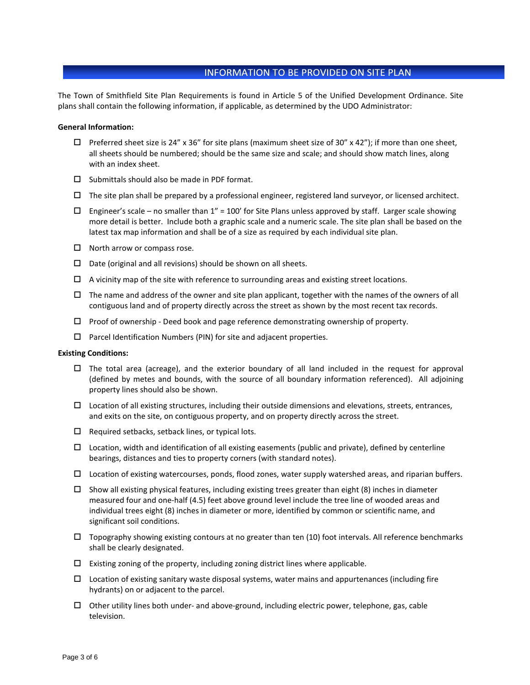### **INFORMATION TO BE PROVIDED ON SITE PLAN**

The Town of Smithfield Site Plan Requirements is found in Article 5 of the Unified Development Ordinance. Site plans shall contain the following information, if applicable, as determined by the UDO Administrator:

#### **General Information:**

- $\Box$  Preferred sheet size is 24" x 36" for site plans (maximum sheet size of 30" x 42"); if more than one sheet, all sheets should be numbered; should be the same size and scale; and should show match lines, along with an index sheet.
- $\square$  Submittals should also be made in PDF format.
- $\Box$  The site plan shall be prepared by a professional engineer, registered land surveyor, or licensed architect.
- $\Box$  Engineer's scale no smaller than 1" = 100' for Site Plans unless approved by staff. Larger scale showing more detail is better. Include both a graphic scale and a numeric scale. The site plan shall be based on the latest tax map information and shall be of a size as required by each individual site plan.
- $\Box$  North arrow or compass rose.
- $\square$  Date (original and all revisions) should be shown on all sheets.
- $\Box$  A vicinity map of the site with reference to surrounding areas and existing street locations.
- $\Box$  The name and address of the owner and site plan applicant, together with the names of the owners of all contiguous land and of property directly across the street as shown by the most recent tax records.
- $\Box$  Proof of ownership Deed book and page reference demonstrating ownership of property.
- $\Box$  Parcel Identification Numbers (PIN) for site and adjacent properties.

#### **Existing Conditions:**

- $\Box$  The total area (acreage), and the exterior boundary of all land included in the request for approval (defined by metes and bounds, with the source of all boundary information referenced). All adjoining property lines should also be shown.
- $\Box$  Location of all existing structures, including their outside dimensions and elevations, streets, entrances, and exits on the site, on contiguous property, and on property directly across the street.
- $\Box$  Required setbacks, setback lines, or typical lots.
- $\Box$  Location, width and identification of all existing easements (public and private), defined by centerline bearings, distances and ties to property corners (with standard notes).
- $\Box$  Location of existing watercourses, ponds, flood zones, water supply watershed areas, and riparian buffers.
- $\Box$  Show all existing physical features, including existing trees greater than eight (8) inches in diameter measured four and one-half (4.5) feet above ground level include the tree line of wooded areas and individual trees eight (8) inches in diameter or more, identified by common or scientific name, and significant soil conditions.
- $\Box$  Topography showing existing contours at no greater than ten (10) foot intervals. All reference benchmarks shall be clearly designated.
- $\Box$  Existing zoning of the property, including zoning district lines where applicable.
- $\Box$  Location of existing sanitary waste disposal systems, water mains and appurtenances (including fire hydrants) on or adjacent to the parcel.
- $\Box$  Other utility lines both under- and above-ground, including electric power, telephone, gas, cable television.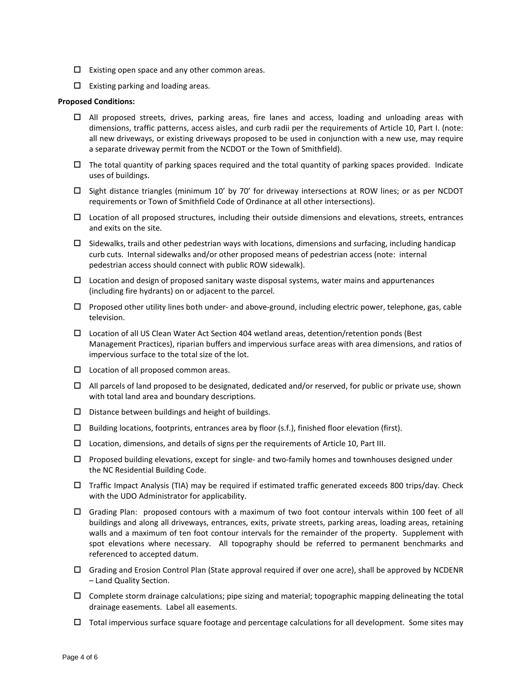- $\Box$  Existing open space and any other common areas.
- $\square$  Existing parking and loading areas.

#### **Proposed Conditions:**

- $\Box$  All proposed streets, drives, parking areas, fire lanes and access, loading and unloading areas with dimensions, traffic patterns, access aisles, and curb radii per the requirements of Article 10, Part I. (note: all new driveways, or existing driveways proposed to be used in conjunction with a new use, may require a separate driveway permit from the NCDOT or the Town of Smithfield).
- $\Box$  The total quantity of parking spaces required and the total quantity of parking spaces provided. Indicate uses of buildings.
- $\Box$  Sight distance triangles (minimum 10' by 70' for driveway intersections at ROW lines; or as per NCDOT requirements or Town of Smithfield Code of Ordinance at all other intersections).
- $\Box$  Location of all proposed structures, including their outside dimensions and elevations, streets, entrances and exits on the site.
- $\Box$  Sidewalks, trails and other pedestrian ways with locations, dimensions and surfacing, including handicap curb cuts. Internal sidewalks and/or other proposed means of pedestrian access (note: internal pedestrian access should connect with public ROW sidewalk).
- $\Box$  Location and design of proposed sanitary waste disposal systems, water mains and appurtenances (including fire hydrants) on or adjacent to the parcel.
- $\Box$  Proposed other utility lines both under- and above-ground, including electric power, telephone, gas, cable television.
- Location of all US Clean Water Act Section 404 wetland areas, detention/retention ponds (Best Management Practices), riparian buffers and impervious surface areas with area dimensions, and ratios of impervious surface to the total size of the lot.
- $\square$  Location of all proposed common areas.
- $\Box$  All parcels of land proposed to be designated, dedicated and/or reserved, for public or private use, shown with total land area and boundary descriptions.
- $\square$  Distance between buildings and height of buildings.
- $\Box$  Building locations, footprints, entrances area by floor (s.f.), finished floor elevation (first).
- $\square$  Location, dimensions, and details of signs per the requirements of Article 10, Part III.
- $\Box$  Proposed building elevations, except for single- and two-family homes and townhouses designed under the NC Residential Building Code.
- $\Box$  Traffic Impact Analysis (TIA) may be required if estimated traffic generated exceeds 800 trips/day. Check with the UDO Administrator for applicability.
- Grading Plan: proposed contours with a maximum of two foot contour intervals within 100 feet of all buildings and along all driveways, entrances, exits, private streets, parking areas, loading areas, retaining walls and a maximum of ten foot contour intervals for the remainder of the property. Supplement with spot elevations where necessary. All topography should be referred to permanent benchmarks and referenced to accepted datum.
- $\Box$  Grading and Erosion Control Plan (State approval required if over one acre), shall be approved by NCDENR – Land Quality Section.
- $\Box$  Complete storm drainage calculations; pipe sizing and material; topographic mapping delineating the total drainage easements. Label all easements.
- $\Box$  Total impervious surface square footage and percentage calculations for all development. Some sites may